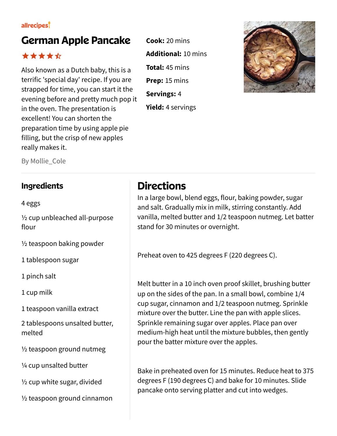## **German Apple Pancake**

### \*\*\*\*\*

Also known as a Dutch baby, this is a terrific 'special day' recipe. If you are strapped for time, you can start it the evening before and pretty much pop it in the oven. The presentation is excellent! You can shorten the preparation time by using apple pie filling, but the crisp of new apples really makes it.

**Cook:** 20 mins **Additional:** 10 mins **Total:** 45 mins **Prep:** 15 mins **Servings:** 4 **Yield:** 4 servings



By Mollie\_Cole

4 eggs

½ cup unbleached all-purpose flour

½ teaspoon baking powder

1 tablespoon sugar

1 pinch salt

1 cup milk

1 teaspoon vanilla extract

2 tablespoons unsalted butter, melted

½ teaspoon ground nutmeg

¼ cup unsalted butter

½ cup white sugar, divided

½ teaspoon ground cinnamon

# **Ingredients Directions**

In a large bowl, blend eggs, flour, baking powder, sugar and salt. Gradually mix in milk, stirring constantly. Add vanilla, melted butter and 1/2 teaspoon nutmeg. Let batter stand for 30 minutes or overnight.

Preheat oven to 425 degrees F (220 degrees C).

Melt butter in a 10 inch oven proof skillet, brushing butter up on the sides of the pan. In a small bowl, combine 1/4 cup sugar, cinnamon and 1/2 teaspoon nutmeg. Sprinkle mixture over the butter. Line the pan with apple slices. Sprinkle remaining sugar over apples. Place pan over medium-high heat until the mixture bubbles, then gently pour the batter mixture over the apples.

Bake in preheated oven for 15 minutes. Reduce heat to 375 degrees F (190 degrees C) and bake for 10 minutes. Slide pancake onto serving platter and cut into wedges.